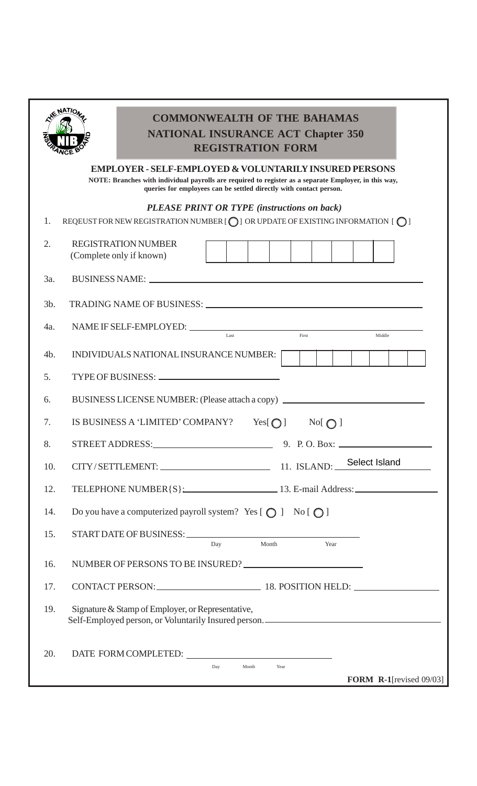| <b>NATIONAL INSURANCE ACT Chapter 350</b><br><b>REGISTRATION FORM</b>                                                                                                                                                                            |                                                                                                                                                                                                                                |  |  |
|--------------------------------------------------------------------------------------------------------------------------------------------------------------------------------------------------------------------------------------------------|--------------------------------------------------------------------------------------------------------------------------------------------------------------------------------------------------------------------------------|--|--|
| <b>EMPLOYER - SELF-EMPLOYED &amp; VOLUNTARILY INSURED PERSONS</b><br>NOTE: Branches with individual payrolls are required to register as a separate Employer, in this way,<br>queries for employees can be settled directly with contact person. |                                                                                                                                                                                                                                |  |  |
| <b>PLEASE PRINT OR TYPE (instructions on back)</b><br>REQEUST FOR NEW REGISTRATION NUMBER $[O]$ OR UPDATE OF EXISTING INFORMATION $[O]$<br>1.                                                                                                    |                                                                                                                                                                                                                                |  |  |
| 2.                                                                                                                                                                                                                                               | <b>REGISTRATION NUMBER</b><br>(Complete only if known)                                                                                                                                                                         |  |  |
| 3a.                                                                                                                                                                                                                                              |                                                                                                                                                                                                                                |  |  |
| $3b$ .                                                                                                                                                                                                                                           | TRADING NAME OF BUSINESS: University of the contract of the contract of the contract of the contract of the contract of the contract of the contract of the contract of the contract of the contract of the contract of the co |  |  |
| 4a.                                                                                                                                                                                                                                              | Last<br>First<br>Middle                                                                                                                                                                                                        |  |  |
| 4b.                                                                                                                                                                                                                                              | INDIVIDUALS NATIONAL INSURANCE NUMBER:                                                                                                                                                                                         |  |  |
| 5.                                                                                                                                                                                                                                               |                                                                                                                                                                                                                                |  |  |
| 6.                                                                                                                                                                                                                                               | BUSINESS LICENSE NUMBER: (Please attach a copy)                                                                                                                                                                                |  |  |
| 7.                                                                                                                                                                                                                                               | IS BUSINESS A 'LIMITED' COMPANY?<br>Yes[ $\bigcirc$ ]<br>$Nof$ $\bigcirc$ $\bigcirc$ $\bigcirc$                                                                                                                                |  |  |
| 8.                                                                                                                                                                                                                                               | STREET ADDRESS:<br>9. P.O. Box: $\_\_$                                                                                                                                                                                         |  |  |
| 10.                                                                                                                                                                                                                                              | CITY/SETTLEMENT: 11. ISLAND: Select Island                                                                                                                                                                                     |  |  |
| 12.                                                                                                                                                                                                                                              | TELEPHONE NUMBER { S }: 13. E-mail Address:                                                                                                                                                                                    |  |  |
| 14.                                                                                                                                                                                                                                              | Do you have a computerized payroll system? Yes $\lceil \bigcirc \rceil$ No $\lceil \bigcirc \rceil$                                                                                                                            |  |  |
| 15.                                                                                                                                                                                                                                              | Month<br>Day<br>Year                                                                                                                                                                                                           |  |  |
| 16.                                                                                                                                                                                                                                              | NUMBER OF PERSONS TO BE INSURED?                                                                                                                                                                                               |  |  |
| 17.                                                                                                                                                                                                                                              | CONTACT PERSON: 18. POSITION HELD:                                                                                                                                                                                             |  |  |
| 19.                                                                                                                                                                                                                                              | Signature & Stamp of Employer, or Representative,<br>Self-Employed person, or Voluntarily Insured person. ____________________________                                                                                         |  |  |
| 20.                                                                                                                                                                                                                                              |                                                                                                                                                                                                                                |  |  |